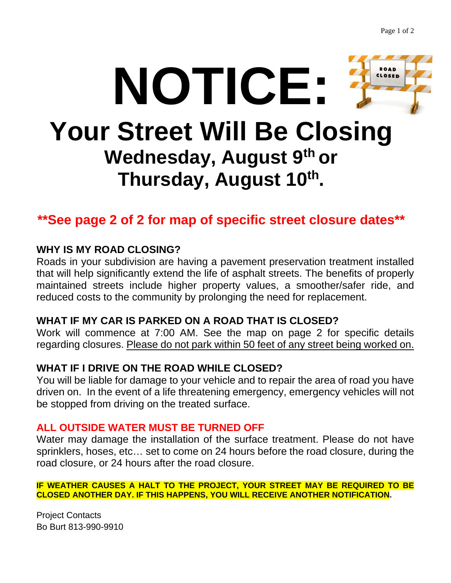

# **\*\*See page 2 of 2 for map of specific street closure dates\*\***

## **WHY IS MY ROAD CLOSING?**

Roads in your subdivision are having a pavement preservation treatment installed that will help significantly extend the life of asphalt streets. The benefits of properly maintained streets include higher property values, a smoother/safer ride, and reduced costs to the community by prolonging the need for replacement.

## **WHAT IF MY CAR IS PARKED ON A ROAD THAT IS CLOSED?**

Work will commence at 7:00 AM. See the map on page 2 for specific details regarding closures. Please do not park within 50 feet of any street being worked on.

# **WHAT IF I DRIVE ON THE ROAD WHILE CLOSED?**

You will be liable for damage to your vehicle and to repair the area of road you have driven on. In the event of a life threatening emergency, emergency vehicles will not be stopped from driving on the treated surface.

## **ALL OUTSIDE WATER MUST BE TURNED OFF**

Water may damage the installation of the surface treatment. Please do not have sprinklers, hoses, etc… set to come on 24 hours before the road closure, during the road closure, or 24 hours after the road closure.

**IF WEATHER CAUSES A HALT TO THE PROJECT, YOUR STREET MAY BE REQUIRED TO BE CLOSED ANOTHER DAY. IF THIS HAPPENS, YOU WILL RECEIVE ANOTHER NOTIFICATION.**

Project Contacts Bo Burt 813-990-9910